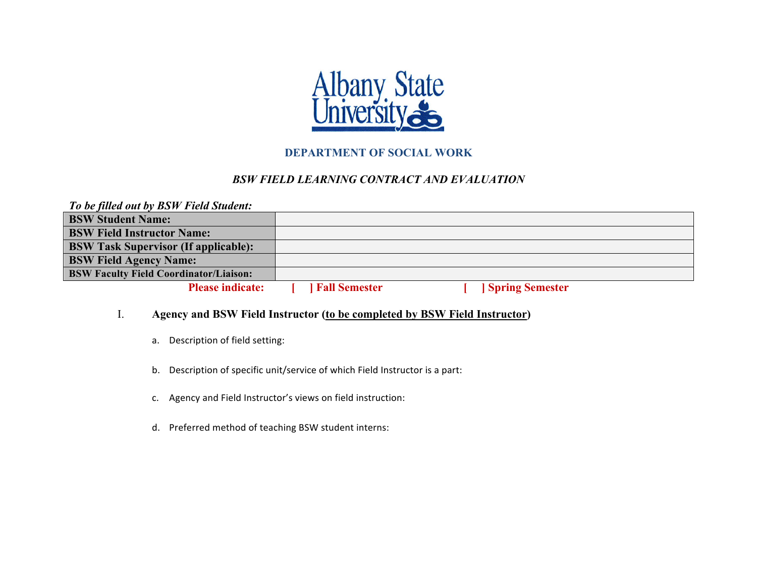

# **DEPARTMENT OF SOCIAL WORK**

# *BSW FIELD LEARNING CONTRACT AND EVALUATION*

| To be filled out by BSW Field Student:        |                      |                        |  |
|-----------------------------------------------|----------------------|------------------------|--|
| <b>BSW Student Name:</b>                      |                      |                        |  |
| <b>BSW Field Instructor Name:</b>             |                      |                        |  |
| <b>BSW Task Supervisor (If applicable):</b>   |                      |                        |  |
| <b>BSW Field Agency Name:</b>                 |                      |                        |  |
| <b>BSW Faculty Field Coordinator/Liaison:</b> |                      |                        |  |
| <b>Please indicate:</b>                       | <b>Fall Semester</b> | <b>Spring Semester</b> |  |

## I. **Agency and BSW Field Instructor (to be completed by BSW Field Instructor)**

- a. Description of field setting:
- b. Description of specific unit/service of which Field Instructor is a part:
- c. Agency and Field Instructor's views on field instruction:
- d. Preferred method of teaching BSW student interns: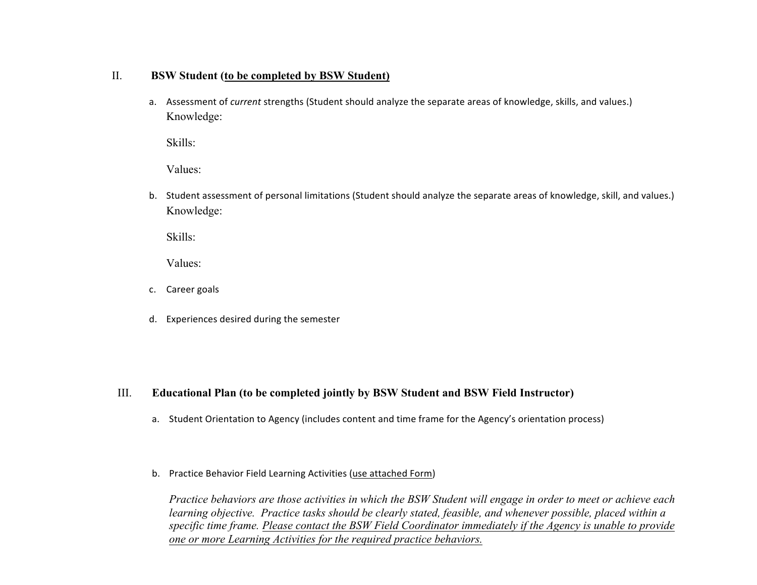#### II. **BSW Student (to be completed by BSW Student)**

a. Assessment of *current* strengths (Student should analyze the separate areas of knowledge, skills, and values.) Knowledge:

Skills:

Values:

b. Student assessment of personal limitations (Student should analyze the separate areas of knowledge, skill, and values.) Knowledge:

Skills:

Values:

- c. Career goals
- d. Experiences desired during the semester

## III. **Educational Plan (to be completed jointly by BSW Student and BSW Field Instructor)**

- a. Student Orientation to Agency (includes content and time frame for the Agency's orientation process)
- b. Practice Behavior Field Learning Activities (use attached Form)

*Practice behaviors are those activities in which the BSW Student will engage in order to meet or achieve each learning objective. Practice tasks should be clearly stated, feasible, and whenever possible, placed within a specific time frame. Please contact the BSW Field Coordinator immediately if the Agency is unable to provide one or more Learning Activities for the required practice behaviors.*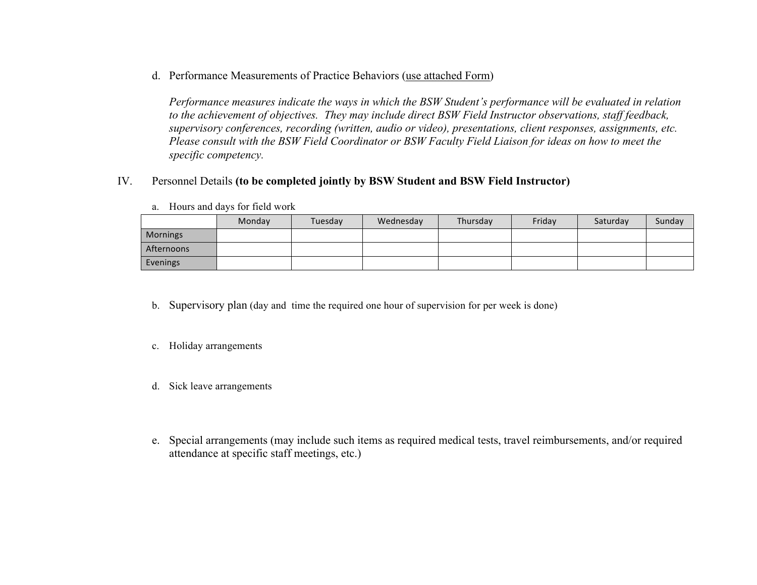d. Performance Measurements of Practice Behaviors (use attached Form)

*Performance measures indicate the ways in which the BSW Student's performance will be evaluated in relation to the achievement of objectives. They may include direct BSW Field Instructor observations, staff feedback, supervisory conferences, recording (written, audio or video), presentations, client responses, assignments, etc. Please consult with the BSW Field Coordinator or BSW Faculty Field Liaison for ideas on how to meet the specific competency.*

## IV. Personnel Details **(to be completed jointly by BSW Student and BSW Field Instructor)**

|            | Monday | Tuesday | Wednesday | Thursday | Fridav | Saturday | Sunday |
|------------|--------|---------|-----------|----------|--------|----------|--------|
| Mornings   |        |         |           |          |        |          |        |
| Afternoons |        |         |           |          |        |          |        |
| Evenings   |        |         |           |          |        |          |        |

a. Hours and days for field work

b. Supervisory plan (day and time the required one hour of supervision for per week is done)

c. Holiday arrangements

- d. Sick leave arrangements
- e. Special arrangements (may include such items as required medical tests, travel reimbursements, and/or required attendance at specific staff meetings, etc.)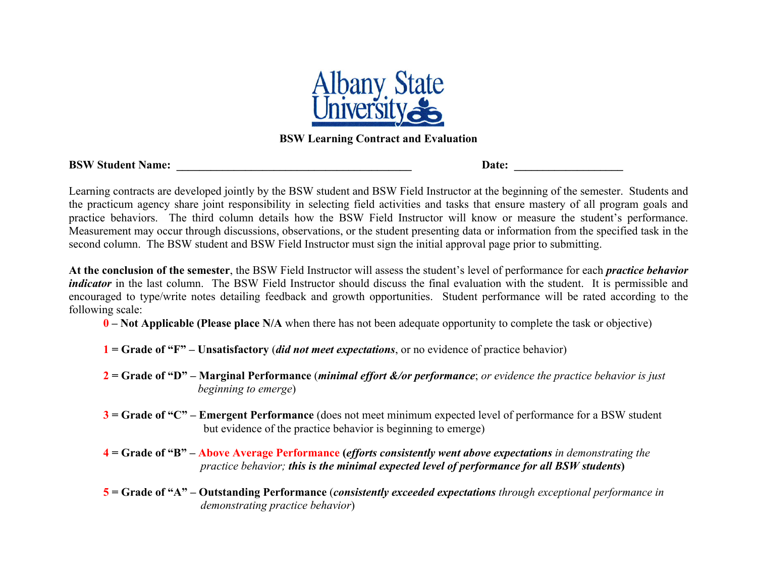

# **BSW Learning Contract and Evaluation**

| <b>BSW Student Name:</b> |  |  |  |
|--------------------------|--|--|--|
|--------------------------|--|--|--|

**Date:** 

Learning contracts are developed jointly by the BSW student and BSW Field Instructor at the beginning of the semester. Students and the practicum agency share joint responsibility in selecting field activities and tasks that ensure mastery of all program goals and practice behaviors. The third column details how the BSW Field Instructor will know or measure the student's performance. Measurement may occur through discussions, observations, or the student presenting data or information from the specified task in the second column. The BSW student and BSW Field Instructor must sign the initial approval page prior to submitting.

**At the conclusion of the semester**, the BSW Field Instructor will assess the student's level of performance for each *practice behavior indicator* in the last column. The BSW Field Instructor should discuss the final evaluation with the student. It is permissible and encouraged to type/write notes detailing feedback and growth opportunities. Student performance will be rated according to the following scale:

- **0 – Not Applicable (Please place N/A** when there has not been adequate opportunity to complete the task or objective)
- **1 = Grade of "F" – Unsatisfactory** (*did not meet expectations*, or no evidence of practice behavior)
- **2 = Grade of "D" – Marginal Performance** (*minimal effort &/or performance*; *or evidence the practice behavior is just*  *beginning to emerge*)
- **3 = Grade of "C" – Emergent Performance** (does not meet minimum expected level of performance for a BSW student but evidence of the practice behavior is beginning to emerge)
- **4 = Grade of "B" – Above Average Performance (***efforts consistently went above expectations in demonstrating the practice behavior; this is the minimal expected level of performance for all BSW students***)**
- **5 = Grade of "A" – Outstanding Performance** (*consistently exceeded expectations through exceptional performance in demonstrating practice behavior*)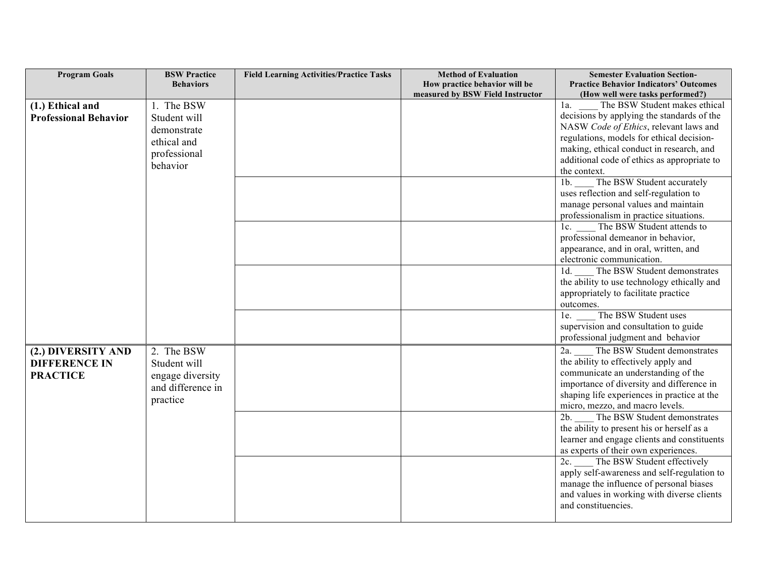| <b>Program Goals</b>         | <b>BSW Practice</b> | <b>Field Learning Activities/Practice Tasks</b> | <b>Method of Evaluation</b>      | <b>Semester Evaluation Section-</b>                               |
|------------------------------|---------------------|-------------------------------------------------|----------------------------------|-------------------------------------------------------------------|
|                              | <b>Behaviors</b>    |                                                 | How practice behavior will be    | <b>Practice Behavior Indicators' Outcomes</b>                     |
|                              |                     |                                                 | measured by BSW Field Instructor | (How well were tasks performed?)<br>The BSW Student makes ethical |
| (1.) Ethical and             | 1. The BSW          |                                                 |                                  | $1a$ .                                                            |
| <b>Professional Behavior</b> | Student will        |                                                 |                                  | decisions by applying the standards of the                        |
|                              | demonstrate         |                                                 |                                  | NASW Code of Ethics, relevant laws and                            |
|                              | ethical and         |                                                 |                                  | regulations, models for ethical decision-                         |
|                              | professional        |                                                 |                                  | making, ethical conduct in research, and                          |
|                              | behavior            |                                                 |                                  | additional code of ethics as appropriate to                       |
|                              |                     |                                                 |                                  | the context.                                                      |
|                              |                     |                                                 |                                  | 1b. The BSW Student accurately                                    |
|                              |                     |                                                 |                                  | uses reflection and self-regulation to                            |
|                              |                     |                                                 |                                  | manage personal values and maintain                               |
|                              |                     |                                                 |                                  | professionalism in practice situations.                           |
|                              |                     |                                                 |                                  | The BSW Student attends to<br>$1c$ .                              |
|                              |                     |                                                 |                                  | professional demeanor in behavior,                                |
|                              |                     |                                                 |                                  | appearance, and in oral, written, and                             |
|                              |                     |                                                 |                                  | electronic communication.                                         |
|                              |                     |                                                 |                                  | The BSW Student demonstrates<br>$1d$ .                            |
|                              |                     |                                                 |                                  | the ability to use technology ethically and                       |
|                              |                     |                                                 |                                  | appropriately to facilitate practice                              |
|                              |                     |                                                 |                                  | outcomes.                                                         |
|                              |                     |                                                 |                                  | The BSW Student uses<br>1e.                                       |
|                              |                     |                                                 |                                  | supervision and consultation to guide                             |
|                              |                     |                                                 |                                  | professional judgment and behavior                                |
| (2.) DIVERSITY AND           | 2. The BSW          |                                                 |                                  | The BSW Student demonstrates<br>$2a$ .                            |
| <b>DIFFERENCE IN</b>         | Student will        |                                                 |                                  | the ability to effectively apply and                              |
| <b>PRACTICE</b>              | engage diversity    |                                                 |                                  | communicate an understanding of the                               |
|                              | and difference in   |                                                 |                                  | importance of diversity and difference in                         |
|                              | practice            |                                                 |                                  | shaping life experiences in practice at the                       |
|                              |                     |                                                 |                                  | micro, mezzo, and macro levels.                                   |
|                              |                     |                                                 |                                  | 2b.<br>The BSW Student demonstrates                               |
|                              |                     |                                                 |                                  | the ability to present his or herself as a                        |
|                              |                     |                                                 |                                  | learner and engage clients and constituents                       |
|                              |                     |                                                 |                                  | as experts of their own experiences.                              |
|                              |                     |                                                 |                                  | The BSW Student effectively<br>2c.                                |
|                              |                     |                                                 |                                  | apply self-awareness and self-regulation to                       |
|                              |                     |                                                 |                                  | manage the influence of personal biases                           |
|                              |                     |                                                 |                                  | and values in working with diverse clients                        |
|                              |                     |                                                 |                                  | and constituencies.                                               |
|                              |                     |                                                 |                                  |                                                                   |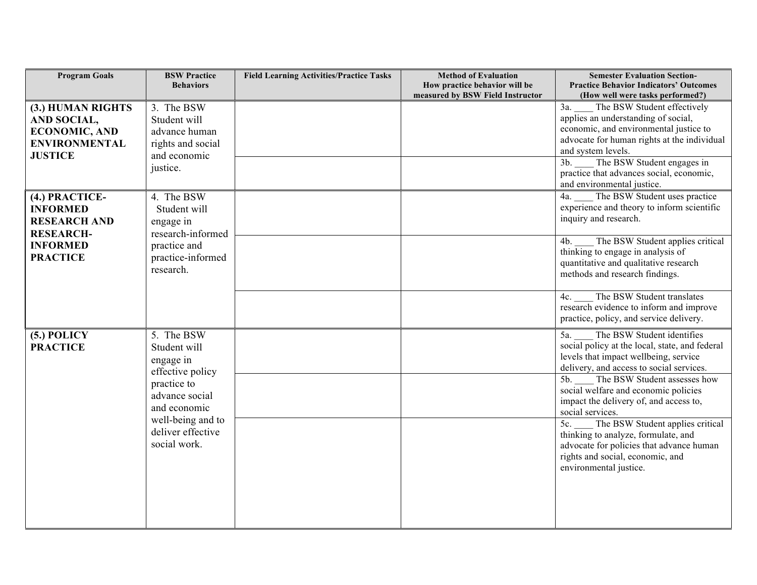| <b>Program Goals</b>                                                                               | <b>BSW Practice</b><br><b>Behaviors</b>                                                                                                                                | <b>Field Learning Activities/Practice Tasks</b> | <b>Method of Evaluation</b><br>How practice behavior will be | <b>Semester Evaluation Section-</b><br><b>Practice Behavior Indicators' Outcomes</b>                                                                                                                                                                                                                                                                                                                                                                                                                              |
|----------------------------------------------------------------------------------------------------|------------------------------------------------------------------------------------------------------------------------------------------------------------------------|-------------------------------------------------|--------------------------------------------------------------|-------------------------------------------------------------------------------------------------------------------------------------------------------------------------------------------------------------------------------------------------------------------------------------------------------------------------------------------------------------------------------------------------------------------------------------------------------------------------------------------------------------------|
|                                                                                                    |                                                                                                                                                                        |                                                 | measured by BSW Field Instructor                             | (How well were tasks performed?)                                                                                                                                                                                                                                                                                                                                                                                                                                                                                  |
| (3.) HUMAN RIGHTS<br>AND SOCIAL,<br><b>ECONOMIC, AND</b><br><b>ENVIRONMENTAL</b><br><b>JUSTICE</b> | 3. The BSW<br>Student will<br>advance human<br>rights and social<br>and economic<br>justice.                                                                           |                                                 |                                                              | 3a.<br>The BSW Student effectively<br>applies an understanding of social,<br>economic, and environmental justice to<br>advocate for human rights at the individual<br>and system levels.<br>The BSW Student engages in<br>$3b$ .<br>practice that advances social, economic,<br>and environmental justice.                                                                                                                                                                                                        |
| (4.) PRACTICE-<br><b>INFORMED</b><br><b>RESEARCH AND</b><br><b>RESEARCH-</b>                       | 4. The BSW<br>Student will<br>engage in<br>research-informed                                                                                                           |                                                 |                                                              | The BSW Student uses practice<br>4a.<br>experience and theory to inform scientific<br>inquiry and research.                                                                                                                                                                                                                                                                                                                                                                                                       |
| <b>INFORMED</b><br><b>PRACTICE</b>                                                                 | practice and<br>practice-informed<br>research.                                                                                                                         |                                                 |                                                              | The BSW Student applies critical<br>4b.<br>thinking to engage in analysis of<br>quantitative and qualitative research<br>methods and research findings.                                                                                                                                                                                                                                                                                                                                                           |
|                                                                                                    |                                                                                                                                                                        |                                                 |                                                              | The BSW Student translates<br>4c.<br>research evidence to inform and improve<br>practice, policy, and service delivery.                                                                                                                                                                                                                                                                                                                                                                                           |
| $(5.)$ POLICY<br><b>PRACTICE</b>                                                                   | 5. The BSW<br>Student will<br>engage in<br>effective policy<br>practice to<br>advance social<br>and economic<br>well-being and to<br>deliver effective<br>social work. |                                                 |                                                              | The BSW Student identifies<br>5a.<br>social policy at the local, state, and federal<br>levels that impact wellbeing, service<br>delivery, and access to social services.<br>The BSW Student assesses how<br>5b.<br>social welfare and economic policies<br>impact the delivery of, and access to,<br>social services.<br>5c.<br>The BSW Student applies critical<br>thinking to analyze, formulate, and<br>advocate for policies that advance human<br>rights and social, economic, and<br>environmental justice. |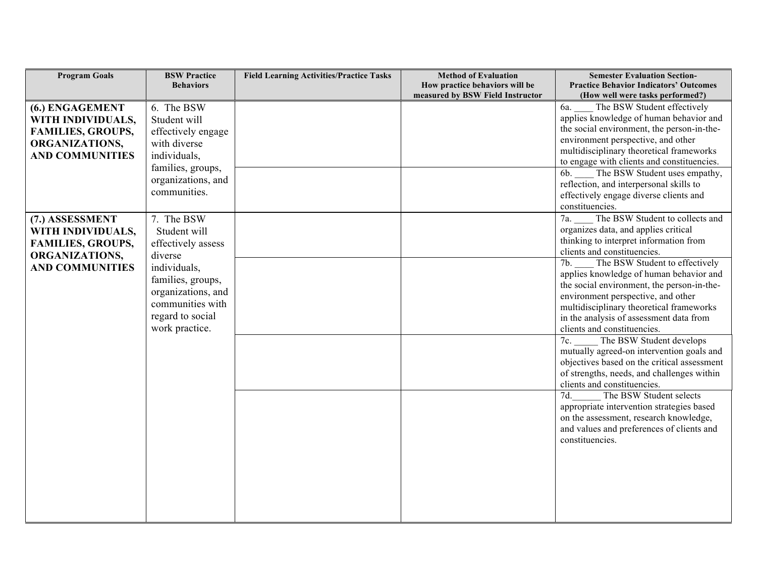| <b>Program Goals</b>     | <b>BSW Practice</b> | <b>Field Learning Activities/Practice Tasks</b> | <b>Method of Evaluation</b>                                        | <b>Semester Evaluation Section-</b>                                              |
|--------------------------|---------------------|-------------------------------------------------|--------------------------------------------------------------------|----------------------------------------------------------------------------------|
|                          | <b>Behaviors</b>    |                                                 | How practice behaviors will be<br>measured by BSW Field Instructor | <b>Practice Behavior Indicators' Outcomes</b>                                    |
|                          | 6. The BSW          |                                                 |                                                                    | (How well were tasks performed?)<br>6a.<br>The BSW Student effectively           |
| (6.) ENGAGEMENT          | Student will        |                                                 |                                                                    | applies knowledge of human behavior and                                          |
| WITH INDIVIDUALS,        |                     |                                                 |                                                                    | the social environment, the person-in-the-                                       |
| <b>FAMILIES, GROUPS,</b> | effectively engage  |                                                 |                                                                    | environment perspective, and other                                               |
| ORGANIZATIONS,           | with diverse        |                                                 |                                                                    | multidisciplinary theoretical frameworks                                         |
| <b>AND COMMUNITIES</b>   | individuals,        |                                                 |                                                                    | to engage with clients and constituencies.                                       |
|                          | families, groups,   |                                                 |                                                                    | The BSW Student uses empathy,<br>6b.                                             |
|                          | organizations, and  |                                                 |                                                                    | reflection, and interpersonal skills to                                          |
|                          | communities.        |                                                 |                                                                    | effectively engage diverse clients and                                           |
|                          |                     |                                                 |                                                                    | constituencies.                                                                  |
| (7.) ASSESSMENT          | 7. The BSW          |                                                 |                                                                    | The BSW Student to collects and<br>7a.                                           |
| WITH INDIVIDUALS,        | Student will        |                                                 |                                                                    | organizes data, and applies critical                                             |
| <b>FAMILIES, GROUPS,</b> | effectively assess  |                                                 |                                                                    | thinking to interpret information from                                           |
| ORGANIZATIONS,           | diverse             |                                                 |                                                                    | clients and constituencies.                                                      |
| <b>AND COMMUNITIES</b>   | individuals,        |                                                 |                                                                    | 7b.<br>The BSW Student to effectively                                            |
|                          | families, groups,   |                                                 |                                                                    | applies knowledge of human behavior and                                          |
|                          | organizations, and  |                                                 |                                                                    | the social environment, the person-in-the-<br>environment perspective, and other |
|                          | communities with    |                                                 |                                                                    | multidisciplinary theoretical frameworks                                         |
|                          | regard to social    |                                                 |                                                                    | in the analysis of assessment data from                                          |
|                          | work practice.      |                                                 |                                                                    | clients and constituencies.                                                      |
|                          |                     |                                                 |                                                                    | 7c.<br>The BSW Student develops                                                  |
|                          |                     |                                                 |                                                                    | mutually agreed-on intervention goals and                                        |
|                          |                     |                                                 |                                                                    | objectives based on the critical assessment                                      |
|                          |                     |                                                 |                                                                    | of strengths, needs, and challenges within                                       |
|                          |                     |                                                 |                                                                    | clients and constituencies.                                                      |
|                          |                     |                                                 |                                                                    | 7d.<br>The BSW Student selects                                                   |
|                          |                     |                                                 |                                                                    | appropriate intervention strategies based                                        |
|                          |                     |                                                 |                                                                    | on the assessment, research knowledge,                                           |
|                          |                     |                                                 |                                                                    | and values and preferences of clients and                                        |
|                          |                     |                                                 |                                                                    | constituencies.                                                                  |
|                          |                     |                                                 |                                                                    |                                                                                  |
|                          |                     |                                                 |                                                                    |                                                                                  |
|                          |                     |                                                 |                                                                    |                                                                                  |
|                          |                     |                                                 |                                                                    |                                                                                  |
|                          |                     |                                                 |                                                                    |                                                                                  |
|                          |                     |                                                 |                                                                    |                                                                                  |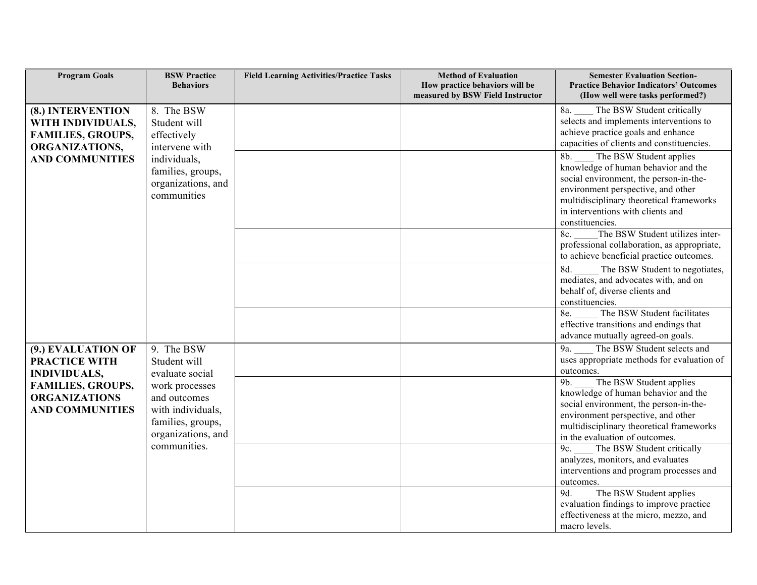| <b>Program Goals</b>                                                                                                                                                                         | <b>BSW Practice</b><br><b>Behaviors</b>                     | <b>Field Learning Activities/Practice Tasks</b> | <b>Method of Evaluation</b><br>How practice behaviors will be<br>measured by BSW Field Instructor                                                                                                                                                         | <b>Semester Evaluation Section-</b><br><b>Practice Behavior Indicators' Outcomes</b><br>(How well were tasks performed?)                                        |
|----------------------------------------------------------------------------------------------------------------------------------------------------------------------------------------------|-------------------------------------------------------------|-------------------------------------------------|-----------------------------------------------------------------------------------------------------------------------------------------------------------------------------------------------------------------------------------------------------------|-----------------------------------------------------------------------------------------------------------------------------------------------------------------|
| (8.) INTERVENTION<br>WITH INDIVIDUALS,<br><b>FAMILIES, GROUPS,</b><br>ORGANIZATIONS,                                                                                                         | 8. The BSW<br>Student will<br>effectively<br>intervene with |                                                 |                                                                                                                                                                                                                                                           | 8a.<br>The BSW Student critically<br>selects and implements interventions to<br>achieve practice goals and enhance<br>capacities of clients and constituencies. |
| <b>AND COMMUNITIES</b><br>individuals,<br>families, groups,<br>organizations, and<br>communities                                                                                             |                                                             |                                                 | The BSW Student applies<br>8b.<br>knowledge of human behavior and the<br>social environment, the person-in-the-<br>environment perspective, and other<br>multidisciplinary theoretical frameworks<br>in interventions with clients and<br>constituencies. |                                                                                                                                                                 |
|                                                                                                                                                                                              |                                                             |                                                 |                                                                                                                                                                                                                                                           | The BSW Student utilizes inter-<br>8c.<br>professional collaboration, as appropriate,<br>to achieve beneficial practice outcomes.                               |
|                                                                                                                                                                                              |                                                             |                                                 |                                                                                                                                                                                                                                                           | The BSW Student to negotiates,<br>8d.<br>mediates, and advocates with, and on<br>behalf of, diverse clients and<br>constituencies.                              |
|                                                                                                                                                                                              |                                                             |                                                 |                                                                                                                                                                                                                                                           | The BSW Student facilitates<br>8e.<br>effective transitions and endings that<br>advance mutually agreed-on goals.                                               |
| (9.) EVALUATION OF<br><b>PRACTICE WITH</b><br><b>INDIVIDUALS,</b>                                                                                                                            | 9. The BSW<br>Student will<br>evaluate social               |                                                 |                                                                                                                                                                                                                                                           | The BSW Student selects and<br>9a.<br>uses appropriate methods for evaluation of<br>outcomes.                                                                   |
| <b>FAMILIES, GROUPS,</b><br>work processes<br><b>ORGANIZATIONS</b><br>and outcomes<br><b>AND COMMUNITIES</b><br>with individuals,<br>families, groups,<br>organizations, and<br>communities. |                                                             |                                                 | The BSW Student applies<br>9b.<br>knowledge of human behavior and the<br>social environment, the person-in-the-<br>environment perspective, and other<br>multidisciplinary theoretical frameworks<br>in the evaluation of outcomes.                       |                                                                                                                                                                 |
|                                                                                                                                                                                              |                                                             |                                                 |                                                                                                                                                                                                                                                           | 9c. The BSW Student critically<br>analyzes, monitors, and evaluates<br>interventions and program processes and<br>outcomes.                                     |
|                                                                                                                                                                                              |                                                             |                                                 |                                                                                                                                                                                                                                                           | The BSW Student applies<br>9d.<br>evaluation findings to improve practice<br>effectiveness at the micro, mezzo, and<br>macro levels.                            |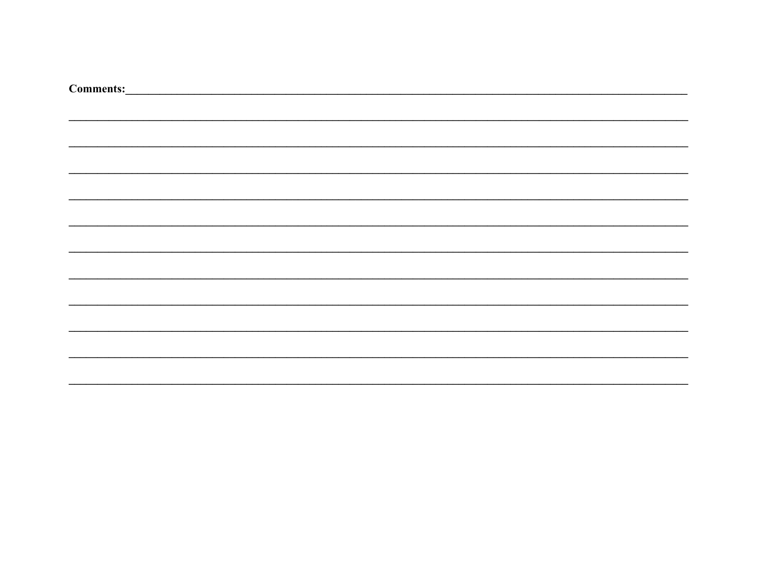| Comments: <u>comments:</u> |
|----------------------------|
|                            |
|                            |
|                            |
|                            |
|                            |
|                            |
|                            |
|                            |
|                            |
|                            |
|                            |
|                            |
|                            |
|                            |
|                            |
|                            |
|                            |
|                            |
|                            |
|                            |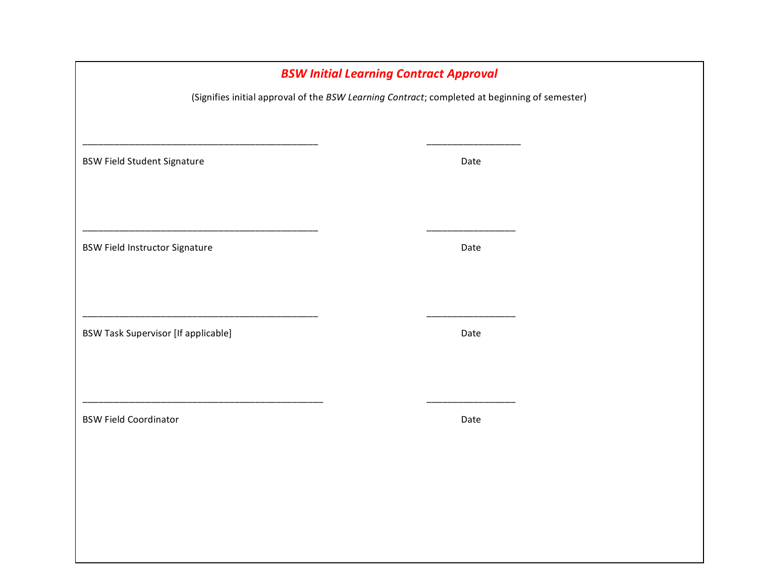| <b>BSW Initial Learning Contract Approval</b>                                                 |  |      |  |  |  |  |  |  |
|-----------------------------------------------------------------------------------------------|--|------|--|--|--|--|--|--|
| (Signifies initial approval of the BSW Learning Contract; completed at beginning of semester) |  |      |  |  |  |  |  |  |
|                                                                                               |  |      |  |  |  |  |  |  |
|                                                                                               |  |      |  |  |  |  |  |  |
| <b>BSW Field Student Signature</b>                                                            |  | Date |  |  |  |  |  |  |
|                                                                                               |  |      |  |  |  |  |  |  |
|                                                                                               |  |      |  |  |  |  |  |  |
| <b>BSW Field Instructor Signature</b>                                                         |  | Date |  |  |  |  |  |  |
|                                                                                               |  |      |  |  |  |  |  |  |
|                                                                                               |  |      |  |  |  |  |  |  |
|                                                                                               |  |      |  |  |  |  |  |  |
| <b>BSW Task Supervisor [If applicable]</b>                                                    |  | Date |  |  |  |  |  |  |
|                                                                                               |  |      |  |  |  |  |  |  |
|                                                                                               |  |      |  |  |  |  |  |  |
|                                                                                               |  |      |  |  |  |  |  |  |
| <b>BSW Field Coordinator</b>                                                                  |  | Date |  |  |  |  |  |  |
|                                                                                               |  |      |  |  |  |  |  |  |
|                                                                                               |  |      |  |  |  |  |  |  |
|                                                                                               |  |      |  |  |  |  |  |  |
|                                                                                               |  |      |  |  |  |  |  |  |
|                                                                                               |  |      |  |  |  |  |  |  |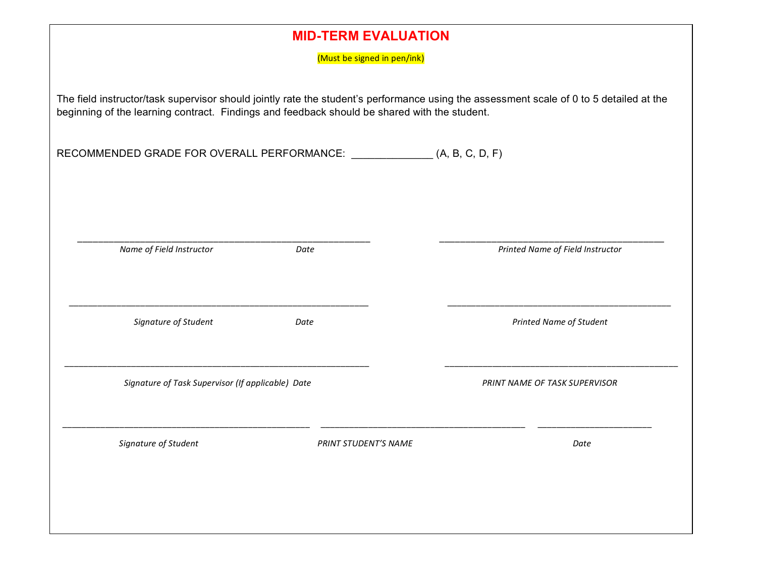| <b>MID-TERM EVALUATION</b>                                                                                                                                                                                                              |                                                   |      |                      |                                  |  |  |  |
|-----------------------------------------------------------------------------------------------------------------------------------------------------------------------------------------------------------------------------------------|---------------------------------------------------|------|----------------------|----------------------------------|--|--|--|
| (Must be signed in pen/ink)                                                                                                                                                                                                             |                                                   |      |                      |                                  |  |  |  |
| The field instructor/task supervisor should jointly rate the student's performance using the assessment scale of 0 to 5 detailed at the<br>beginning of the learning contract. Findings and feedback should be shared with the student. |                                                   |      |                      |                                  |  |  |  |
|                                                                                                                                                                                                                                         |                                                   |      |                      |                                  |  |  |  |
|                                                                                                                                                                                                                                         |                                                   |      |                      |                                  |  |  |  |
|                                                                                                                                                                                                                                         |                                                   |      |                      |                                  |  |  |  |
|                                                                                                                                                                                                                                         | Name of Field Instructor                          | Date |                      | Printed Name of Field Instructor |  |  |  |
|                                                                                                                                                                                                                                         |                                                   |      |                      |                                  |  |  |  |
|                                                                                                                                                                                                                                         |                                                   |      |                      |                                  |  |  |  |
|                                                                                                                                                                                                                                         | Signature of Student                              | Date |                      | Printed Name of Student          |  |  |  |
|                                                                                                                                                                                                                                         |                                                   |      |                      |                                  |  |  |  |
|                                                                                                                                                                                                                                         | Signature of Task Supervisor (If applicable) Date |      |                      | PRINT NAME OF TASK SUPERVISOR    |  |  |  |
|                                                                                                                                                                                                                                         | Signature of Student                              |      | PRINT STUDENT'S NAME | Date                             |  |  |  |
|                                                                                                                                                                                                                                         |                                                   |      |                      |                                  |  |  |  |
|                                                                                                                                                                                                                                         |                                                   |      |                      |                                  |  |  |  |
|                                                                                                                                                                                                                                         |                                                   |      |                      |                                  |  |  |  |